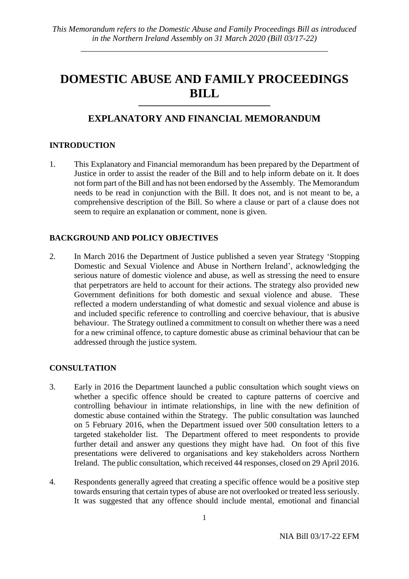# **DOMESTIC ABUSE AND FAMILY PROCEEDINGS BILL**

## **EXPLANATORY AND FINANCIAL MEMORANDUM**

\_\_\_\_\_\_\_\_\_\_\_\_\_\_\_\_\_\_\_\_\_\_\_\_\_\_\_\_\_\_\_\_\_\_\_\_\_\_\_\_\_\_\_\_\_\_\_\_

#### **INTRODUCTION**

1. This Explanatory and Financial memorandum has been prepared by the Department of Justice in order to assist the reader of the Bill and to help inform debate on it. It does not form part of the Bill and has not been endorsed by the Assembly. The Memorandum needs to be read in conjunction with the Bill. It does not, and is not meant to be, a comprehensive description of the Bill. So where a clause or part of a clause does not seem to require an explanation or comment, none is given.

## **BACKGROUND AND POLICY OBJECTIVES**

2. In March 2016 the Department of Justice published a seven year Strategy 'Stopping Domestic and Sexual Violence and Abuse in Northern Ireland', acknowledging the serious nature of domestic violence and abuse, as well as stressing the need to ensure that perpetrators are held to account for their actions. The strategy also provided new Government definitions for both domestic and sexual violence and abuse. These reflected a modern understanding of what domestic and sexual violence and abuse is and included specific reference to controlling and coercive behaviour, that is abusive behaviour. The Strategy outlined a commitment to consult on whether there was a need for a new criminal offence, to capture domestic abuse as criminal behaviour that can be addressed through the justice system.

## **CONSULTATION**

- 3. Early in 2016 the Department launched a public consultation which sought views on whether a specific offence should be created to capture patterns of coercive and controlling behaviour in intimate relationships, in line with the new definition of domestic abuse contained within the Strategy. The public consultation was launched on 5 February 2016, when the Department issued over 500 consultation letters to a targeted stakeholder list. The Department offered to meet respondents to provide further detail and answer any questions they might have had. On foot of this five presentations were delivered to organisations and key stakeholders across Northern Ireland. The public consultation, which received 44 responses, closed on 29 April 2016.
- 4. Respondents generally agreed that creating a specific offence would be a positive step towards ensuring that certain types of abuse are not overlooked or treated less seriously. It was suggested that any offence should include mental, emotional and financial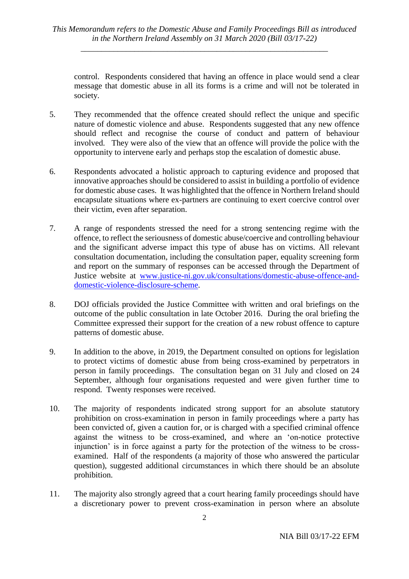control. Respondents considered that having an offence in place would send a clear message that domestic abuse in all its forms is a crime and will not be tolerated in society.

- 5. They recommended that the offence created should reflect the unique and specific nature of domestic violence and abuse. Respondents suggested that any new offence should reflect and recognise the course of conduct and pattern of behaviour involved. They were also of the view that an offence will provide the police with the opportunity to intervene early and perhaps stop the escalation of domestic abuse.
- 6. Respondents advocated a holistic approach to capturing evidence and proposed that innovative approaches should be considered to assist in building a portfolio of evidence for domestic abuse cases. It was highlighted that the offence in Northern Ireland should encapsulate situations where ex-partners are continuing to exert coercive control over their victim, even after separation.
- 7. A range of respondents stressed the need for a strong sentencing regime with the offence, to reflect the seriousness of domestic abuse/coercive and controlling behaviour and the significant adverse impact this type of abuse has on victims. All relevant consultation documentation, including the consultation paper, equality screening form and report on the summary of responses can be accessed through the Department of Justice website at [www.justice-ni.gov.uk/consultations/domestic-abuse-offence-and](file:///C:/Users/2334412/AppData/Local/Microsoft/Windows/INetCache/Content.Outlook/AV1E9X6I/www.justice-ni.gov.uk/consultations/domestic-abuse-offence-and-domestic-violence-disclosure-scheme)[domestic-violence-disclosure-scheme.](file:///C:/Users/2334412/AppData/Local/Microsoft/Windows/INetCache/Content.Outlook/AV1E9X6I/www.justice-ni.gov.uk/consultations/domestic-abuse-offence-and-domestic-violence-disclosure-scheme)
- 8. DOJ officials provided the Justice Committee with written and oral briefings on the outcome of the public consultation in late October 2016. During the oral briefing the Committee expressed their support for the creation of a new robust offence to capture patterns of domestic abuse.
- 9. In addition to the above, in 2019, the Department consulted on options for legislation to protect victims of domestic abuse from being cross-examined by perpetrators in person in family proceedings. The consultation began on 31 July and closed on 24 September, although four organisations requested and were given further time to respond. Twenty responses were received.
- 10. The majority of respondents indicated strong support for an absolute statutory prohibition on cross-examination in person in family proceedings where a party has been convicted of, given a caution for, or is charged with a specified criminal offence against the witness to be cross-examined, and where an 'on-notice protective injunction' is in force against a party for the protection of the witness to be crossexamined. Half of the respondents (a majority of those who answered the particular question), suggested additional circumstances in which there should be an absolute prohibition.
- 11. The majority also strongly agreed that a court hearing family proceedings should have a discretionary power to prevent cross-examination in person where an absolute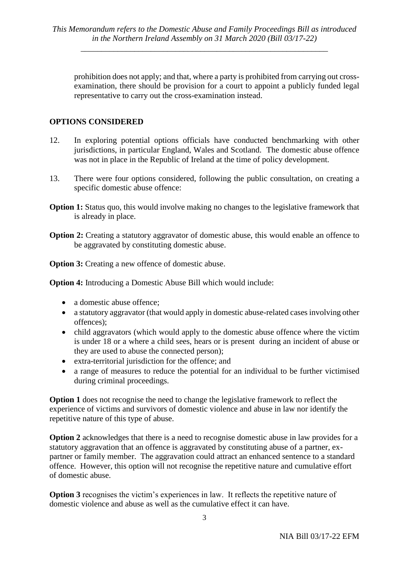prohibition does not apply; and that, where a party is prohibited from carrying out crossexamination, there should be provision for a court to appoint a publicly funded legal representative to carry out the cross-examination instead.

## **OPTIONS CONSIDERED**

- 12. In exploring potential options officials have conducted benchmarking with other jurisdictions, in particular England, Wales and Scotland. The domestic abuse offence was not in place in the Republic of Ireland at the time of policy development.
- 13. There were four options considered, following the public consultation, on creating a specific domestic abuse offence:
- **Option 1:** Status quo, this would involve making no changes to the legislative framework that is already in place.
- **Option 2:** Creating a statutory aggravator of domestic abuse, this would enable an offence to be aggravated by constituting domestic abuse.

**Option 3:** Creating a new offence of domestic abuse.

**Option 4:** Introducing a Domestic Abuse Bill which would include:

- a domestic abuse offence;
- a statutory aggravator (that would apply in domestic abuse-related cases involving other offences);
- child aggravators (which would apply to the domestic abuse offence where the victim is under 18 or a where a child sees, hears or is present during an incident of abuse or they are used to abuse the connected person);
- extra-territorial jurisdiction for the offence; and
- a range of measures to reduce the potential for an individual to be further victimised during criminal proceedings.

**Option 1** does not recognise the need to change the legislative framework to reflect the experience of victims and survivors of domestic violence and abuse in law nor identify the repetitive nature of this type of abuse.

**Option 2** acknowledges that there is a need to recognise domestic abuse in law provides for a statutory aggravation that an offence is aggravated by constituting abuse of a partner, expartner or family member. The aggravation could attract an enhanced sentence to a standard offence. However, this option will not recognise the repetitive nature and cumulative effort of domestic abuse.

**Option 3** recognises the victim's experiences in law. It reflects the repetitive nature of domestic violence and abuse as well as the cumulative effect it can have.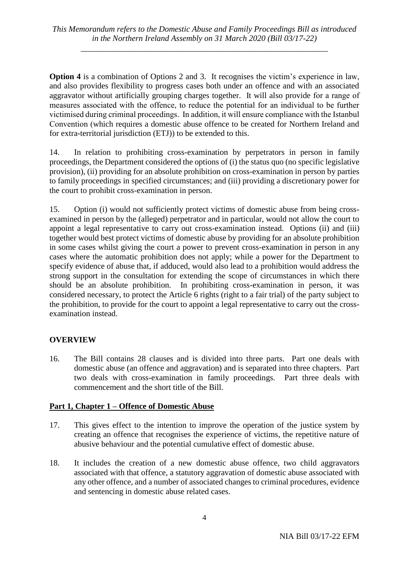**Option 4** is a combination of Options 2 and 3. It recognises the victim's experience in law, and also provides flexibility to progress cases both under an offence and with an associated aggravator without artificially grouping charges together. It will also provide for a range of measures associated with the offence, to reduce the potential for an individual to be further victimised during criminal proceedings. In addition, it will ensure compliance with the Istanbul Convention (which requires a domestic abuse offence to be created for Northern Ireland and for extra-territorial jurisdiction (ETJ)) to be extended to this.

14. In relation to prohibiting cross-examination by perpetrators in person in family proceedings, the Department considered the options of (i) the status quo (no specific legislative provision), (ii) providing for an absolute prohibition on cross-examination in person by parties to family proceedings in specified circumstances; and (iii) providing a discretionary power for the court to prohibit cross-examination in person.

15. Option (i) would not sufficiently protect victims of domestic abuse from being crossexamined in person by the (alleged) perpetrator and in particular, would not allow the court to appoint a legal representative to carry out cross-examination instead. Options (ii) and (iii) together would best protect victims of domestic abuse by providing for an absolute prohibition in some cases whilst giving the court a power to prevent cross-examination in person in any cases where the automatic prohibition does not apply; while a power for the Department to specify evidence of abuse that, if adduced, would also lead to a prohibition would address the strong support in the consultation for extending the scope of circumstances in which there should be an absolute prohibition. In prohibiting cross-examination in person, it was considered necessary, to protect the Article 6 rights (right to a fair trial) of the party subject to the prohibition, to provide for the court to appoint a legal representative to carry out the crossexamination instead.

## **OVERVIEW**

16. The Bill contains 28 clauses and is divided into three parts. Part one deals with domestic abuse (an offence and aggravation) and is separated into three chapters. Part two deals with cross-examination in family proceedings. Part three deals with commencement and the short title of the Bill.

## **Part 1, Chapter 1 – Offence of Domestic Abuse**

- 17. This gives effect to the intention to improve the operation of the justice system by creating an offence that recognises the experience of victims, the repetitive nature of abusive behaviour and the potential cumulative effect of domestic abuse.
- 18. It includes the creation of a new domestic abuse offence, two child aggravators associated with that offence, a statutory aggravation of domestic abuse associated with any other offence, and a number of associated changes to criminal procedures, evidence and sentencing in domestic abuse related cases.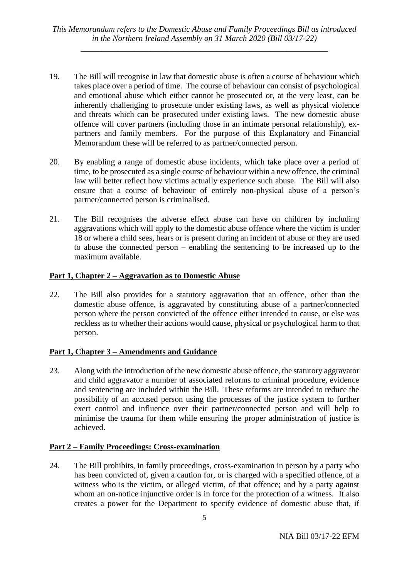- 19. The Bill will recognise in law that domestic abuse is often a course of behaviour which takes place over a period of time. The course of behaviour can consist of psychological and emotional abuse which either cannot be prosecuted or, at the very least, can be inherently challenging to prosecute under existing laws, as well as physical violence and threats which can be prosecuted under existing laws. The new domestic abuse offence will cover partners (including those in an intimate personal relationship), expartners and family members. For the purpose of this Explanatory and Financial Memorandum these will be referred to as partner/connected person.
- 20. By enabling a range of domestic abuse incidents, which take place over a period of time, to be prosecuted as a single course of behaviour within a new offence, the criminal law will better reflect how victims actually experience such abuse. The Bill will also ensure that a course of behaviour of entirely non-physical abuse of a person's partner/connected person is criminalised.
- 21. The Bill recognises the adverse effect abuse can have on children by including aggravations which will apply to the domestic abuse offence where the victim is under 18 or where a child sees, hears or is present during an incident of abuse or they are used to abuse the connected person – enabling the sentencing to be increased up to the maximum available.

#### **Part 1, Chapter 2 – Aggravation as to Domestic Abuse**

22. The Bill also provides for a statutory aggravation that an offence, other than the domestic abuse offence, is aggravated by constituting abuse of a partner/connected person where the person convicted of the offence either intended to cause, or else was reckless as to whether their actions would cause, physical or psychological harm to that person.

## **Part 1, Chapter 3 – Amendments and Guidance**

23. Along with the introduction of the new domestic abuse offence, the statutory aggravator and child aggravator a number of associated reforms to criminal procedure, evidence and sentencing are included within the Bill. These reforms are intended to reduce the possibility of an accused person using the processes of the justice system to further exert control and influence over their partner/connected person and will help to minimise the trauma for them while ensuring the proper administration of justice is achieved.

## **Part 2 – Family Proceedings: Cross-examination**

24. The Bill prohibits, in family proceedings, cross-examination in person by a party who has been convicted of, given a caution for, or is charged with a specified offence, of a witness who is the victim, or alleged victim, of that offence; and by a party against whom an on-notice injunctive order is in force for the protection of a witness. It also creates a power for the Department to specify evidence of domestic abuse that, if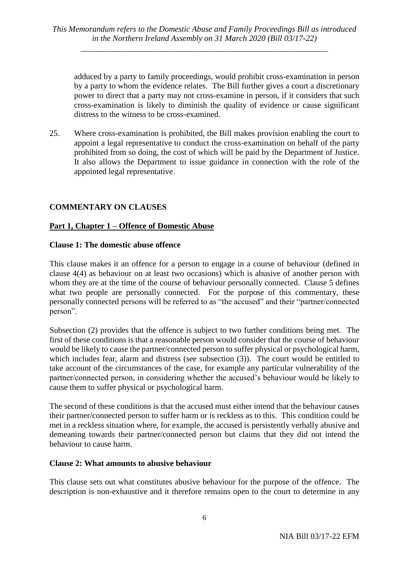adduced by a party to family proceedings, would prohibit cross-examination in person by a party to whom the evidence relates. The Bill further gives a court a discretionary power to direct that a party may not cross-examine in person, if it considers that such cross-examination is likely to diminish the quality of evidence or cause significant distress to the witness to be cross-examined.

25. Where cross-examination is prohibited, the Bill makes provision enabling the court to appoint a legal representative to conduct the cross-examination on behalf of the party prohibited from so doing, the cost of which will be paid by the Department of Justice. It also allows the Department to issue guidance in connection with the role of the appointed legal representative.

## **COMMENTARY ON CLAUSES**

#### **Part 1, Chapter 1 – Offence of Domestic Abuse**

#### **Clause 1: The domestic abuse offence**

This clause makes it an offence for a person to engage in a course of behaviour (defined in clause 4(4) as behaviour on at least two occasions) which is abusive of another person with whom they are at the time of the course of behaviour personally connected. Clause 5 defines what two people are personally connected. For the purpose of this commentary, these personally connected persons will be referred to as "the accused" and their "partner/connected person".

Subsection (2) provides that the offence is subject to two further conditions being met. The first of these conditions is that a reasonable person would consider that the course of behaviour would be likely to cause the partner/connected person to suffer physical or psychological harm, which includes fear, alarm and distress (see subsection  $(3)$ ). The court would be entitled to take account of the circumstances of the case, for example any particular vulnerability of the partner/connected person, in considering whether the accused's behaviour would be likely to cause them to suffer physical or psychological harm.

The second of these conditions is that the accused must either intend that the behaviour causes their partner/connected person to suffer harm or is reckless as to this. This condition could be met in a reckless situation where, for example, the accused is persistently verbally abusive and demeaning towards their partner/connected person but claims that they did not intend the behaviour to cause harm.

#### **Clause 2: What amounts to abusive behaviour**

This clause sets out what constitutes abusive behaviour for the purpose of the offence. The description is non-exhaustive and it therefore remains open to the court to determine in any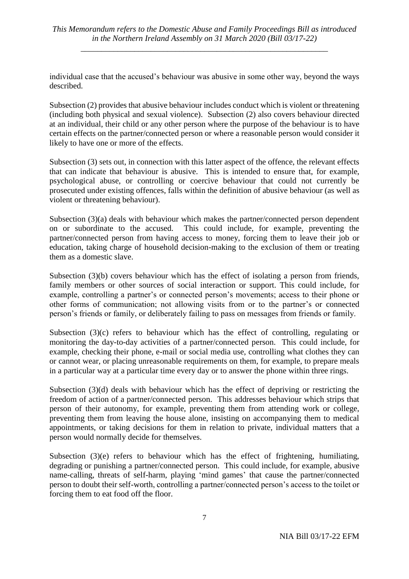individual case that the accused's behaviour was abusive in some other way, beyond the ways described.

Subsection (2) provides that abusive behaviour includes conduct which is violent or threatening (including both physical and sexual violence). Subsection (2) also covers behaviour directed at an individual, their child or any other person where the purpose of the behaviour is to have certain effects on the partner/connected person or where a reasonable person would consider it likely to have one or more of the effects.

Subsection (3) sets out, in connection with this latter aspect of the offence, the relevant effects that can indicate that behaviour is abusive. This is intended to ensure that, for example, psychological abuse, or controlling or coercive behaviour that could not currently be prosecuted under existing offences, falls within the definition of abusive behaviour (as well as violent or threatening behaviour).

Subsection (3)(a) deals with behaviour which makes the partner/connected person dependent on or subordinate to the accused. This could include, for example, preventing the partner/connected person from having access to money, forcing them to leave their job or education, taking charge of household decision-making to the exclusion of them or treating them as a domestic slave.

Subsection (3)(b) covers behaviour which has the effect of isolating a person from friends, family members or other sources of social interaction or support. This could include, for example, controlling a partner's or connected person's movements; access to their phone or other forms of communication; not allowing visits from or to the partner's or connected person's friends or family, or deliberately failing to pass on messages from friends or family.

Subsection (3)(c) refers to behaviour which has the effect of controlling, regulating or monitoring the day-to-day activities of a partner/connected person. This could include, for example, checking their phone, e-mail or social media use, controlling what clothes they can or cannot wear, or placing unreasonable requirements on them, for example, to prepare meals in a particular way at a particular time every day or to answer the phone within three rings.

Subsection (3)(d) deals with behaviour which has the effect of depriving or restricting the freedom of action of a partner/connected person. This addresses behaviour which strips that person of their autonomy, for example, preventing them from attending work or college, preventing them from leaving the house alone, insisting on accompanying them to medical appointments, or taking decisions for them in relation to private, individual matters that a person would normally decide for themselves.

Subsection (3)(e) refers to behaviour which has the effect of frightening, humiliating, degrading or punishing a partner/connected person. This could include, for example, abusive name-calling, threats of self-harm, playing 'mind games' that cause the partner/connected person to doubt their self-worth, controlling a partner/connected person's access to the toilet or forcing them to eat food off the floor.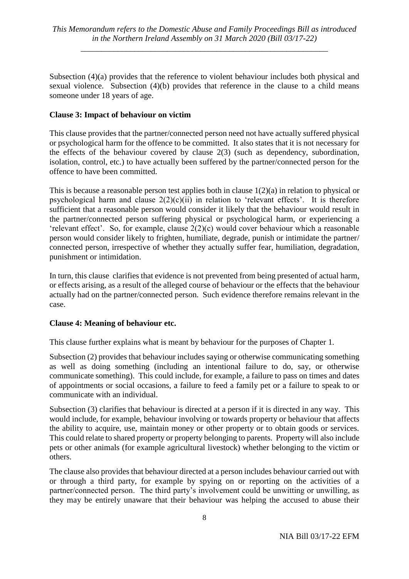Subsection (4)(a) provides that the reference to violent behaviour includes both physical and sexual violence. Subsection (4)(b) provides that reference in the clause to a child means someone under 18 years of age.

## **Clause 3: Impact of behaviour on victim**

This clause provides that the partner/connected person need not have actually suffered physical or psychological harm for the offence to be committed. It also states that it is not necessary for the effects of the behaviour covered by clause 2(3) (such as dependency, subordination, isolation, control, etc.) to have actually been suffered by the partner/connected person for the offence to have been committed.

This is because a reasonable person test applies both in clause  $1(2)(a)$  in relation to physical or psychological harm and clause  $2(2)(c)(ii)$  in relation to 'relevant effects'. It is therefore sufficient that a reasonable person would consider it likely that the behaviour would result in the partner/connected person suffering physical or psychological harm, or experiencing a 'relevant effect'. So, for example, clause 2(2)(c) would cover behaviour which a reasonable person would consider likely to frighten, humiliate, degrade, punish or intimidate the partner/ connected person, irrespective of whether they actually suffer fear, humiliation, degradation, punishment or intimidation.

In turn, this clause clarifies that evidence is not prevented from being presented of actual harm, or effects arising, as a result of the alleged course of behaviour or the effects that the behaviour actually had on the partner/connected person. Such evidence therefore remains relevant in the case.

#### **Clause 4: Meaning of behaviour etc.**

This clause further explains what is meant by behaviour for the purposes of Chapter 1.

Subsection (2) provides that behaviour includes saying or otherwise communicating something as well as doing something (including an intentional failure to do, say, or otherwise communicate something). This could include, for example, a failure to pass on times and dates of appointments or social occasions, a failure to feed a family pet or a failure to speak to or communicate with an individual.

Subsection (3) clarifies that behaviour is directed at a person if it is directed in any way. This would include, for example, behaviour involving or towards property or behaviour that affects the ability to acquire, use, maintain money or other property or to obtain goods or services. This could relate to shared property or property belonging to parents. Property will also include pets or other animals (for example agricultural livestock) whether belonging to the victim or others.

The clause also provides that behaviour directed at a person includes behaviour carried out with or through a third party, for example by spying on or reporting on the activities of a partner/connected person. The third party's involvement could be unwitting or unwilling, as they may be entirely unaware that their behaviour was helping the accused to abuse their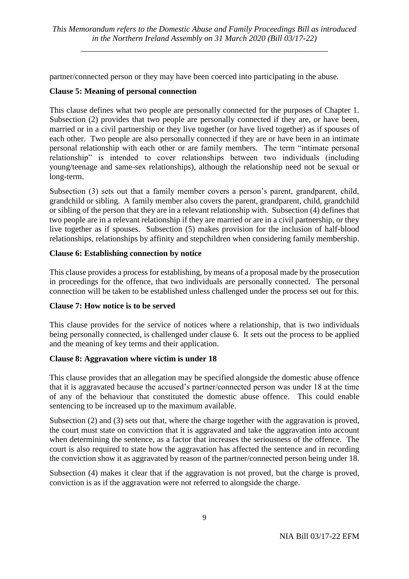partner/connected person or they may have been coerced into participating in the abuse.

## **Clause 5: Meaning of personal connection**

This clause defines what two people are personally connected for the purposes of Chapter 1. Subsection (2) provides that two people are personally connected if they are, or have been, married or in a civil partnership or they live together (or have lived together) as if spouses of each other. Two people are also personally connected if they are or have been in an intimate personal relationship with each other or are family members. The term "intimate personal relationship" is intended to cover relationships between two individuals (including young/teenage and same-sex relationships), although the relationship need not be sexual or long-term.

Subsection (3) sets out that a family member covers a person's parent, grandparent, child, grandchild or sibling. A family member also covers the parent, grandparent, child, grandchild or sibling of the person that they are in a relevant relationship with. Subsection (4) defines that two people are in a relevant relationship if they are married or are in a civil partnership, or they live together as if spouses. Subsection (5) makes provision for the inclusion of half-blood relationships, relationships by affinity and stepchildren when considering family membership.

#### **Clause 6: Establishing connection by notice**

This clause provides a process for establishing, by means of a proposal made by the prosecution in proceedings for the offence, that two individuals are personally connected. The personal connection will be taken to be established unless challenged under the process set out for this.

#### **Clause 7: How notice is to be served**

This clause provides for the service of notices where a relationship, that is two individuals being personally connected, is challenged under clause 6. It sets out the process to be applied and the meaning of key terms and their application.

#### **Clause 8: Aggravation where victim is under 18**

This clause provides that an allegation may be specified alongside the domestic abuse offence that it is aggravated because the accused's partner/connected person was under 18 at the time of any of the behaviour that constituted the domestic abuse offence. This could enable sentencing to be increased up to the maximum available.

Subsection (2) and (3) sets out that, where the charge together with the aggravation is proved, the court must state on conviction that it is aggravated and take the aggravation into account when determining the sentence, as a factor that increases the seriousness of the offence. The court is also required to state how the aggravation has affected the sentence and in recording the conviction show it as aggravated by reason of the partner/connected person being under 18.

Subsection (4) makes it clear that if the aggravation is not proved, but the charge is proved, conviction is as if the aggravation were not referred to alongside the charge.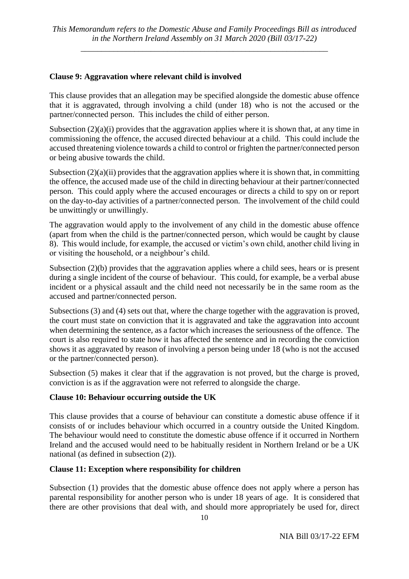## **Clause 9: Aggravation where relevant child is involved**

This clause provides that an allegation may be specified alongside the domestic abuse offence that it is aggravated, through involving a child (under 18) who is not the accused or the partner/connected person. This includes the child of either person.

Subsection  $(2)(a)(i)$  provides that the aggravation applies where it is shown that, at any time in commissioning the offence, the accused directed behaviour at a child. This could include the accused threatening violence towards a child to control or frighten the partner/connected person or being abusive towards the child.

Subsection  $(2)(a)(ii)$  provides that the aggravation applies where it is shown that, in committing the offence, the accused made use of the child in directing behaviour at their partner/connected person. This could apply where the accused encourages or directs a child to spy on or report on the day-to-day activities of a partner/connected person. The involvement of the child could be unwittingly or unwillingly.

The aggravation would apply to the involvement of any child in the domestic abuse offence (apart from when the child is the partner/connected person, which would be caught by clause 8). This would include, for example, the accused or victim's own child, another child living in or visiting the household, or a neighbour's child.

Subsection  $(2)(b)$  provides that the aggravation applies where a child sees, hears or is present during a single incident of the course of behaviour. This could, for example, be a verbal abuse incident or a physical assault and the child need not necessarily be in the same room as the accused and partner/connected person.

Subsections (3) and (4) sets out that, where the charge together with the aggravation is proved, the court must state on conviction that it is aggravated and take the aggravation into account when determining the sentence, as a factor which increases the seriousness of the offence. The court is also required to state how it has affected the sentence and in recording the conviction shows it as aggravated by reason of involving a person being under 18 (who is not the accused or the partner/connected person).

Subsection (5) makes it clear that if the aggravation is not proved, but the charge is proved, conviction is as if the aggravation were not referred to alongside the charge.

## **Clause 10: Behaviour occurring outside the UK**

This clause provides that a course of behaviour can constitute a domestic abuse offence if it consists of or includes behaviour which occurred in a country outside the United Kingdom. The behaviour would need to constitute the domestic abuse offence if it occurred in Northern Ireland and the accused would need to be habitually resident in Northern Ireland or be a UK national (as defined in subsection (2)).

## **Clause 11: Exception where responsibility for children**

Subsection (1) provides that the domestic abuse offence does not apply where a person has parental responsibility for another person who is under 18 years of age. It is considered that there are other provisions that deal with, and should more appropriately be used for, direct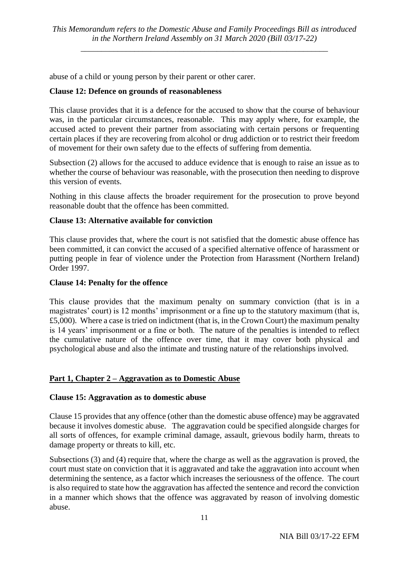abuse of a child or young person by their parent or other carer.

#### **Clause 12: Defence on grounds of reasonableness**

This clause provides that it is a defence for the accused to show that the course of behaviour was, in the particular circumstances, reasonable. This may apply where, for example, the accused acted to prevent their partner from associating with certain persons or frequenting certain places if they are recovering from alcohol or drug addiction or to restrict their freedom of movement for their own safety due to the effects of suffering from dementia.

Subsection (2) allows for the accused to adduce evidence that is enough to raise an issue as to whether the course of behaviour was reasonable, with the prosecution then needing to disprove this version of events.

Nothing in this clause affects the broader requirement for the prosecution to prove beyond reasonable doubt that the offence has been committed.

#### **Clause 13: Alternative available for conviction**

This clause provides that, where the court is not satisfied that the domestic abuse offence has been committed, it can convict the accused of a specified alternative offence of harassment or putting people in fear of violence under the Protection from Harassment (Northern Ireland) Order 1997.

#### **Clause 14: Penalty for the offence**

This clause provides that the maximum penalty on summary conviction (that is in a magistrates' court) is 12 months' imprisonment or a fine up to the statutory maximum (that is, £5,000). Where a case is tried on indictment (that is, in the Crown Court) the maximum penalty is 14 years' imprisonment or a fine or both. The nature of the penalties is intended to reflect the cumulative nature of the offence over time, that it may cover both physical and psychological abuse and also the intimate and trusting nature of the relationships involved.

## **Part 1, Chapter 2 – Aggravation as to Domestic Abuse**

#### **Clause 15: Aggravation as to domestic abuse**

Clause 15 provides that any offence (other than the domestic abuse offence) may be aggravated because it involves domestic abuse. The aggravation could be specified alongside charges for all sorts of offences, for example criminal damage, assault, grievous bodily harm, threats to damage property or threats to kill, etc.

Subsections (3) and (4) require that, where the charge as well as the aggravation is proved, the court must state on conviction that it is aggravated and take the aggravation into account when determining the sentence, as a factor which increases the seriousness of the offence. The court is also required to state how the aggravation has affected the sentence and record the conviction in a manner which shows that the offence was aggravated by reason of involving domestic abuse.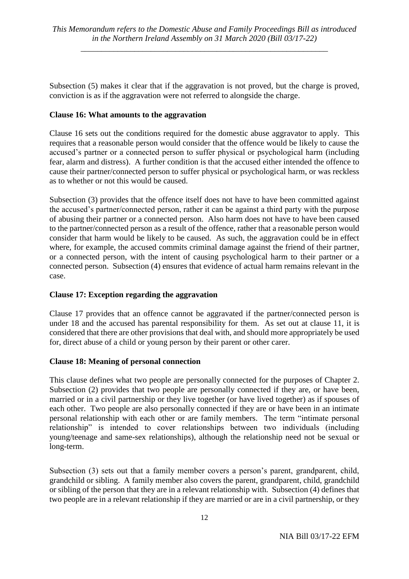Subsection (5) makes it clear that if the aggravation is not proved, but the charge is proved, conviction is as if the aggravation were not referred to alongside the charge.

## **Clause 16: What amounts to the aggravation**

Clause 16 sets out the conditions required for the domestic abuse aggravator to apply. This requires that a reasonable person would consider that the offence would be likely to cause the accused's partner or a connected person to suffer physical or psychological harm (including fear, alarm and distress). A further condition is that the accused either intended the offence to cause their partner/connected person to suffer physical or psychological harm, or was reckless as to whether or not this would be caused.

Subsection (3) provides that the offence itself does not have to have been committed against the accused's partner/connected person, rather it can be against a third party with the purpose of abusing their partner or a connected person. Also harm does not have to have been caused to the partner/connected person as a result of the offence, rather that a reasonable person would consider that harm would be likely to be caused. As such, the aggravation could be in effect where, for example, the accused commits criminal damage against the friend of their partner, or a connected person, with the intent of causing psychological harm to their partner or a connected person. Subsection (4) ensures that evidence of actual harm remains relevant in the case.

## **Clause 17: Exception regarding the aggravation**

Clause 17 provides that an offence cannot be aggravated if the partner/connected person is under 18 and the accused has parental responsibility for them. As set out at clause 11, it is considered that there are other provisions that deal with, and should more appropriately be used for, direct abuse of a child or young person by their parent or other carer.

## **Clause 18: Meaning of personal connection**

This clause defines what two people are personally connected for the purposes of Chapter 2. Subsection (2) provides that two people are personally connected if they are, or have been, married or in a civil partnership or they live together (or have lived together) as if spouses of each other. Two people are also personally connected if they are or have been in an intimate personal relationship with each other or are family members. The term "intimate personal relationship" is intended to cover relationships between two individuals (including young/teenage and same-sex relationships), although the relationship need not be sexual or long-term.

Subsection (3) sets out that a family member covers a person's parent, grandparent, child, grandchild or sibling. A family member also covers the parent, grandparent, child, grandchild or sibling of the person that they are in a relevant relationship with. Subsection (4) defines that two people are in a relevant relationship if they are married or are in a civil partnership, or they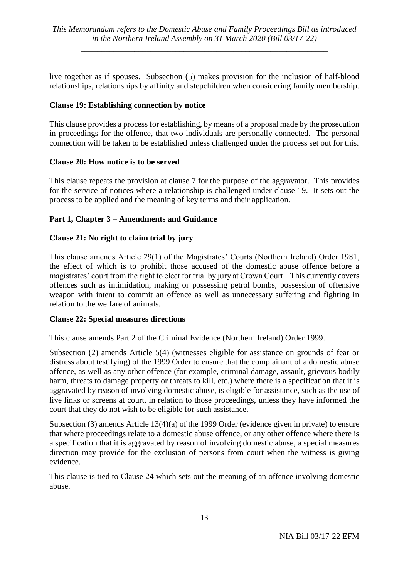live together as if spouses. Subsection (5) makes provision for the inclusion of half-blood relationships, relationships by affinity and stepchildren when considering family membership.

## **Clause 19: Establishing connection by notice**

This clause provides a process for establishing, by means of a proposal made by the prosecution in proceedings for the offence, that two individuals are personally connected. The personal connection will be taken to be established unless challenged under the process set out for this.

#### **Clause 20: How notice is to be served**

This clause repeats the provision at clause 7 for the purpose of the aggravator. This provides for the service of notices where a relationship is challenged under clause 19. It sets out the process to be applied and the meaning of key terms and their application.

## **Part 1, Chapter 3 – Amendments and Guidance**

#### **Clause 21: No right to claim trial by jury**

This clause amends Article 29(1) of the Magistrates' Courts (Northern Ireland) Order 1981, the effect of which is to prohibit those accused of the domestic abuse offence before a magistrates' court from the right to elect for trial by jury at Crown Court. This currently covers offences such as intimidation, making or possessing petrol bombs, possession of offensive weapon with intent to commit an offence as well as unnecessary suffering and fighting in relation to the welfare of animals.

#### **Clause 22: Special measures directions**

This clause amends Part 2 of the Criminal Evidence (Northern Ireland) Order 1999.

Subsection (2) amends Article 5(4) (witnesses eligible for assistance on grounds of fear or distress about testifying) of the 1999 Order to ensure that the complainant of a domestic abuse offence, as well as any other offence (for example, criminal damage, assault, grievous bodily harm, threats to damage property or threats to kill, etc.) where there is a specification that it is aggravated by reason of involving domestic abuse, is eligible for assistance, such as the use of live links or screens at court, in relation to those proceedings, unless they have informed the court that they do not wish to be eligible for such assistance.

Subsection (3) amends Article 13(4)(a) of the 1999 Order (evidence given in private) to ensure that where proceedings relate to a domestic abuse offence, or any other offence where there is a specification that it is aggravated by reason of involving domestic abuse, a special measures direction may provide for the exclusion of persons from court when the witness is giving evidence.

This clause is tied to Clause 24 which sets out the meaning of an offence involving domestic abuse.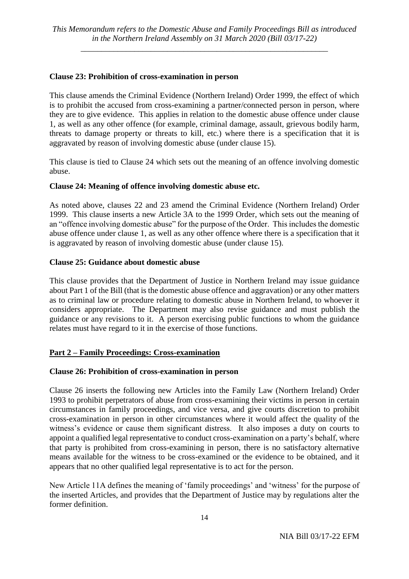#### **Clause 23: Prohibition of cross-examination in person**

This clause amends the Criminal Evidence (Northern Ireland) Order 1999, the effect of which is to prohibit the accused from cross-examining a partner/connected person in person, where they are to give evidence. This applies in relation to the domestic abuse offence under clause 1, as well as any other offence (for example, criminal damage, assault, grievous bodily harm, threats to damage property or threats to kill, etc.) where there is a specification that it is aggravated by reason of involving domestic abuse (under clause 15).

This clause is tied to Clause 24 which sets out the meaning of an offence involving domestic abuse.

#### **Clause 24: Meaning of offence involving domestic abuse etc.**

As noted above, clauses 22 and 23 amend the Criminal Evidence (Northern Ireland) Order 1999. This clause inserts a new Article 3A to the 1999 Order, which sets out the meaning of an "offence involving domestic abuse" for the purpose of the Order. This includes the domestic abuse offence under clause 1, as well as any other offence where there is a specification that it is aggravated by reason of involving domestic abuse (under clause 15).

#### **Clause 25: Guidance about domestic abuse**

This clause provides that the Department of Justice in Northern Ireland may issue guidance about Part 1 of the Bill (that is the domestic abuse offence and aggravation) or any other matters as to criminal law or procedure relating to domestic abuse in Northern Ireland, to whoever it considers appropriate. The Department may also revise guidance and must publish the guidance or any revisions to it. A person exercising public functions to whom the guidance relates must have regard to it in the exercise of those functions.

## **Part 2 – Family Proceedings: Cross-examination**

#### **Clause 26: Prohibition of cross-examination in person**

Clause 26 inserts the following new Articles into the Family Law (Northern Ireland) Order 1993 to prohibit perpetrators of abuse from cross-examining their victims in person in certain circumstances in family proceedings, and vice versa, and give courts discretion to prohibit cross-examination in person in other circumstances where it would affect the quality of the witness's evidence or cause them significant distress. It also imposes a duty on courts to appoint a qualified legal representative to conduct cross-examination on a party's behalf, where that party is prohibited from cross-examining in person, there is no satisfactory alternative means available for the witness to be cross-examined or the evidence to be obtained, and it appears that no other qualified legal representative is to act for the person.

New Article 11A defines the meaning of 'family proceedings' and 'witness' for the purpose of the inserted Articles, and provides that the Department of Justice may by regulations alter the former definition.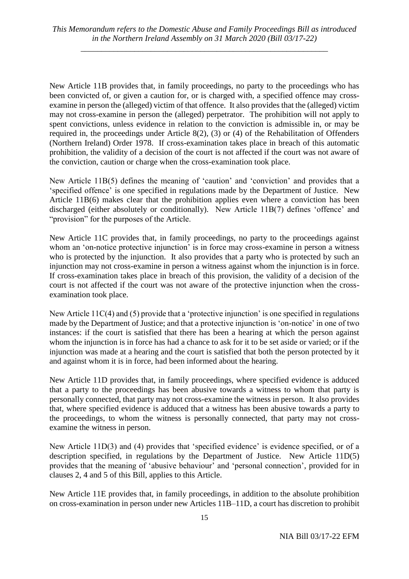New Article 11B provides that, in family proceedings, no party to the proceedings who has been convicted of, or given a caution for, or is charged with, a specified offence may crossexamine in person the (alleged) victim of that offence. It also provides that the (alleged) victim may not cross-examine in person the (alleged) perpetrator. The prohibition will not apply to spent convictions, unless evidence in relation to the conviction is admissible in, or may be required in, the proceedings under Article 8(2), (3) or (4) of the Rehabilitation of Offenders (Northern Ireland) Order 1978. If cross-examination takes place in breach of this automatic prohibition, the validity of a decision of the court is not affected if the court was not aware of the conviction, caution or charge when the cross-examination took place.

New Article 11B(5) defines the meaning of 'caution' and 'conviction' and provides that a 'specified offence' is one specified in regulations made by the Department of Justice. New Article 11B(6) makes clear that the prohibition applies even where a conviction has been discharged (either absolutely or conditionally). New Article 11B(7) defines 'offence' and "provision" for the purposes of the Article.

New Article 11C provides that, in family proceedings, no party to the proceedings against whom an 'on-notice protective injunction' is in force may cross-examine in person a witness who is protected by the injunction. It also provides that a party who is protected by such an injunction may not cross-examine in person a witness against whom the injunction is in force. If cross-examination takes place in breach of this provision, the validity of a decision of the court is not affected if the court was not aware of the protective injunction when the crossexamination took place.

New Article 11C(4) and (5) provide that a 'protective injunction' is one specified in regulations made by the Department of Justice; and that a protective injunction is 'on-notice' in one of two instances: if the court is satisfied that there has been a hearing at which the person against whom the injunction is in force has had a chance to ask for it to be set aside or varied; or if the injunction was made at a hearing and the court is satisfied that both the person protected by it and against whom it is in force, had been informed about the hearing.

New Article 11D provides that, in family proceedings, where specified evidence is adduced that a party to the proceedings has been abusive towards a witness to whom that party is personally connected, that party may not cross-examine the witness in person. It also provides that, where specified evidence is adduced that a witness has been abusive towards a party to the proceedings, to whom the witness is personally connected, that party may not crossexamine the witness in person.

New Article 11D(3) and (4) provides that 'specified evidence' is evidence specified, or of a description specified, in regulations by the Department of Justice. New Article 11D(5) provides that the meaning of 'abusive behaviour' and 'personal connection', provided for in clauses 2, 4 and 5 of this Bill, applies to this Article.

New Article 11E provides that, in family proceedings, in addition to the absolute prohibition on cross-examination in person under new Articles 11B–11D, a court has discretion to prohibit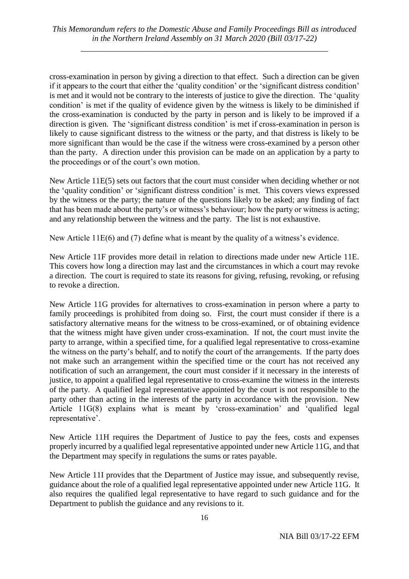cross-examination in person by giving a direction to that effect. Such a direction can be given if it appears to the court that either the 'quality condition' or the 'significant distress condition' is met and it would not be contrary to the interests of justice to give the direction. The 'quality condition' is met if the quality of evidence given by the witness is likely to be diminished if the cross-examination is conducted by the party in person and is likely to be improved if a direction is given. The 'significant distress condition' is met if cross-examination in person is likely to cause significant distress to the witness or the party, and that distress is likely to be more significant than would be the case if the witness were cross-examined by a person other than the party. A direction under this provision can be made on an application by a party to the proceedings or of the court's own motion.

New Article 11E(5) sets out factors that the court must consider when deciding whether or not the 'quality condition' or 'significant distress condition' is met. This covers views expressed by the witness or the party; the nature of the questions likely to be asked; any finding of fact that has been made about the party's or witness's behaviour; how the party or witness is acting; and any relationship between the witness and the party. The list is not exhaustive.

New Article 11E(6) and (7) define what is meant by the quality of a witness's evidence.

New Article 11F provides more detail in relation to directions made under new Article 11E. This covers how long a direction may last and the circumstances in which a court may revoke a direction. The court is required to state its reasons for giving, refusing, revoking, or refusing to revoke a direction.

New Article 11G provides for alternatives to cross-examination in person where a party to family proceedings is prohibited from doing so. First, the court must consider if there is a satisfactory alternative means for the witness to be cross-examined, or of obtaining evidence that the witness might have given under cross-examination. If not, the court must invite the party to arrange, within a specified time, for a qualified legal representative to cross-examine the witness on the party's behalf, and to notify the court of the arrangements. If the party does not make such an arrangement within the specified time or the court has not received any notification of such an arrangement, the court must consider if it necessary in the interests of justice, to appoint a qualified legal representative to cross-examine the witness in the interests of the party. A qualified legal representative appointed by the court is not responsible to the party other than acting in the interests of the party in accordance with the provision. New Article 11G(8) explains what is meant by 'cross-examination' and 'qualified legal representative'.

New Article 11H requires the Department of Justice to pay the fees, costs and expenses properly incurred by a qualified legal representative appointed under new Article 11G, and that the Department may specify in regulations the sums or rates payable.

New Article 11I provides that the Department of Justice may issue, and subsequently revise, guidance about the role of a qualified legal representative appointed under new Article 11G. It also requires the qualified legal representative to have regard to such guidance and for the Department to publish the guidance and any revisions to it.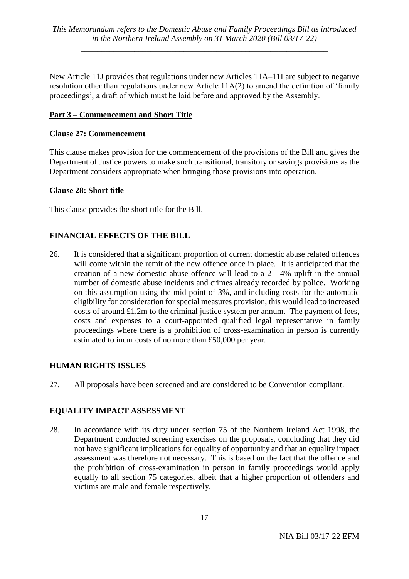New Article 11J provides that regulations under new Articles 11A–11I are subject to negative resolution other than regulations under new Article 11A(2) to amend the definition of 'family proceedings', a draft of which must be laid before and approved by the Assembly.

## **Part 3 – Commencement and Short Title**

#### **Clause 27: Commencement**

This clause makes provision for the commencement of the provisions of the Bill and gives the Department of Justice powers to make such transitional, transitory or savings provisions as the Department considers appropriate when bringing those provisions into operation.

#### **Clause 28: Short title**

This clause provides the short title for the Bill.

## **FINANCIAL EFFECTS OF THE BILL**

26. It is considered that a significant proportion of current domestic abuse related offences will come within the remit of the new offence once in place. It is anticipated that the creation of a new domestic abuse offence will lead to a 2 - 4% uplift in the annual number of domestic abuse incidents and crimes already recorded by police. Working on this assumption using the mid point of 3%, and including costs for the automatic eligibility for consideration for special measures provision, this would lead to increased costs of around £1.2m to the criminal justice system per annum. The payment of fees, costs and expenses to a court-appointed qualified legal representative in family proceedings where there is a prohibition of cross-examination in person is currently estimated to incur costs of no more than £50,000 per year.

## **HUMAN RIGHTS ISSUES**

27. All proposals have been screened and are considered to be Convention compliant.

## **EQUALITY IMPACT ASSESSMENT**

28. In accordance with its duty under section 75 of the Northern Ireland Act 1998, the Department conducted screening exercises on the proposals, concluding that they did not have significant implications for equality of opportunity and that an equality impact assessment was therefore not necessary. This is based on the fact that the offence and the prohibition of cross-examination in person in family proceedings would apply equally to all section 75 categories, albeit that a higher proportion of offenders and victims are male and female respectively.